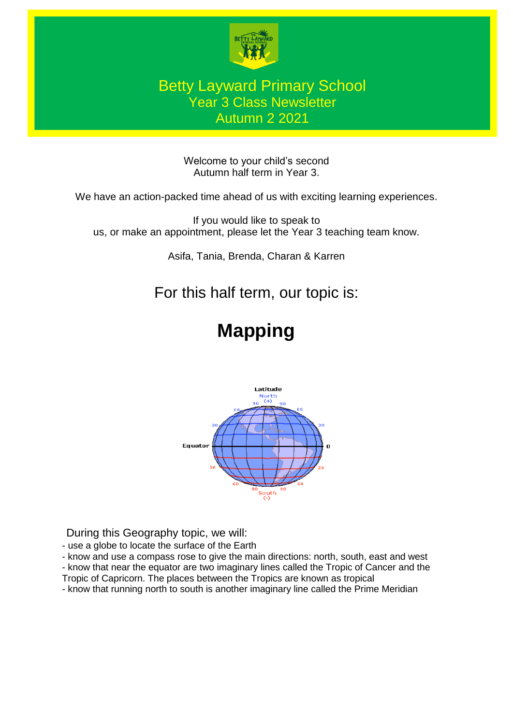

#### Betty Layward Primary School Year 3 Class Newsletter Autumn 2 2021

Welcome to your child's second Autumn half term in Year 3.

We have an action-packed time ahead of us with exciting learning experiences.

If you would like to speak to us, or make an appointment, please let the Year 3 teaching team know.

Asifa, Tania, Brenda, Charan & Karren

## For this half term, our topic is:

# **Mapping**



During this Geography topic, we will:

- use a globe to locate the surface of the Earth

- know and use a compass rose to give the main directions: north, south, east and west

- know that near the equator are two imaginary lines called the Tropic of Cancer and the

Tropic of Capricorn. The places between the Tropics are known as tropical

- know that running north to south is another imaginary line called the Prime Meridian